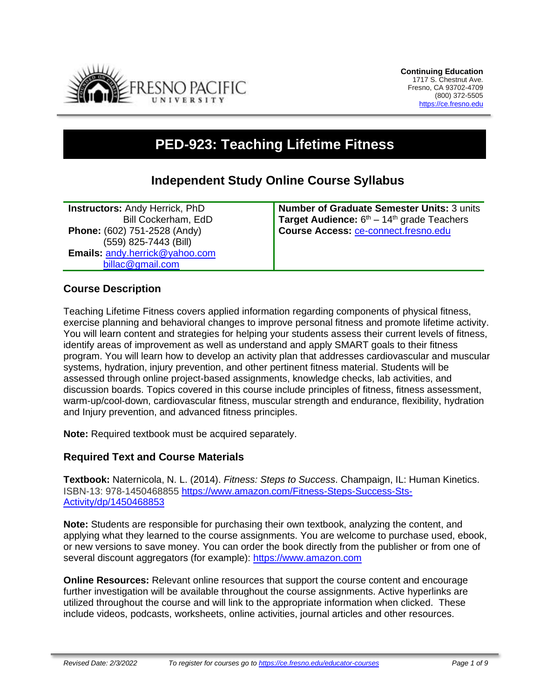

# **PED-923: Teaching Lifetime Fitness**

## **Independent Study Online Course Syllabus**

**Instructors:** Andy Herrick, PhD Bill Cockerham, EdD **Phone:** (602) 751-2528 (Andy) (559) 825-7443 (Bill) **Emails:** [andy.herrick@yahoo.com](mailto:andy.herrick@yahoo.com) [billac@gmail.com](mailto:billac@gmail.com)

**Number of Graduate Semester Units:** 3 units **Target Audience:** 6<sup>th</sup> – 14<sup>th</sup> grade Teachers **Course Access:** [ce-connect.fresno.edu](https://ce-connect.fresno.edu/)

## **Course Description**

Teaching Lifetime Fitness covers applied information regarding components of physical fitness, exercise planning and behavioral changes to improve personal fitness and promote lifetime activity. You will learn content and strategies for helping your students assess their current levels of fitness, identify areas of improvement as well as understand and apply SMART goals to their fitness program. You will learn how to develop an activity plan that addresses cardiovascular and muscular systems, hydration, injury prevention, and other pertinent fitness material. Students will be assessed through online project-based assignments, knowledge checks, lab activities, and discussion boards. Topics covered in this course include principles of fitness, fitness assessment, warm-up/cool-down, cardiovascular fitness, muscular strength and endurance, flexibility, hydration and Injury prevention, and advanced fitness principles.

**Note:** Required textbook must be acquired separately.

#### **Required Text and Course Materials**

**Textbook:** Naternicola, N. L. (2014). *Fitness: Steps to Success*. Champaign, IL: Human Kinetics. ISBN-13: 978-1450468855 [https://www.amazon.com/Fitness-Steps-Success-Sts-](https://www.amazon.com/Fitness-Steps-Success-Sts-Activity/dp/1450468853)[Activity/dp/1450468853](https://www.amazon.com/Fitness-Steps-Success-Sts-Activity/dp/1450468853)

**Note:** Students are responsible for purchasing their own textbook, analyzing the content, and applying what they learned to the course assignments. You are welcome to purchase used, ebook, or new versions to save money. You can order the book directly from the publisher or from one of several discount aggregators (for example): [https://www.amazon.com](https://www.amazon.com/)

**Online Resources:** Relevant online resources that support the course content and encourage further investigation will be available throughout the course assignments. Active hyperlinks are utilized throughout the course and will link to the appropriate information when clicked. These include videos, podcasts, worksheets, online activities, journal articles and other resources.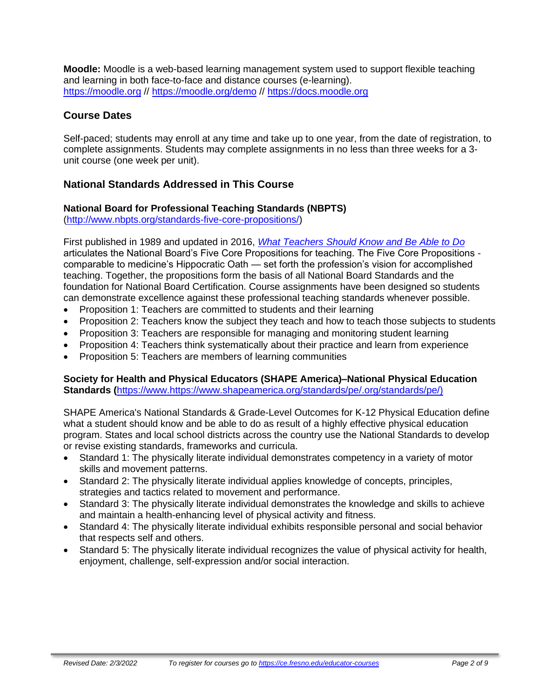**Moodle:** Moodle is a web-based learning management system used to support flexible teaching and learning in both face-to-face and distance courses (e-learning). [https://moodle.org](https://moodle.org/) // <https://moodle.org/demo> // [https://docs.moodle.org](https://docs.moodle.org/)

## **Course Dates**

Self-paced; students may enroll at any time and take up to one year, from the date of registration, to complete assignments. Students may complete assignments in no less than three weeks for a 3 unit course (one week per unit).

## **National Standards Addressed in This Course**

#### **National Board for Professional Teaching Standards (NBPTS)**

[\(http://www.nbpts.org/standards-five-core-propositions/\)](http://www.nbpts.org/standards-five-core-propositions/)

First published in 1989 and updated in 2016, *[What Teachers Should Know and Be Able to Do](http://www.accomplishedteacher.org/)* articulates the National Board's Five Core Propositions for teaching. The Five Core Propositions comparable to medicine's Hippocratic Oath — set forth the profession's vision for accomplished teaching. Together, the propositions form the basis of all National Board Standards and the foundation for National Board Certification. Course assignments have been designed so students can demonstrate excellence against these professional teaching standards whenever possible.

- Proposition 1: Teachers are committed to students and their learning
- Proposition 2: Teachers know the subject they teach and how to teach those subjects to students
- Proposition 3: Teachers are responsible for managing and monitoring student learning
- Proposition 4: Teachers think systematically about their practice and learn from experience
- Proposition 5: Teachers are members of learning communities

#### **Society for Health and Physical Educators (SHAPE America)–National Physical Education Standards (**https://www[.https://www.shapeamerica.org/standards/pe/.](https://www.shapeamerica.org/standards/pe/)org/standards/pe/)

SHAPE America's National Standards & Grade-Level Outcomes for K-12 Physical Education define what a student should know and be able to do as result of a highly effective physical education program. States and local school districts across the country use the National Standards to develop or revise existing standards, frameworks and curricula.

- Standard 1: The physically literate individual demonstrates competency in a variety of motor skills and movement patterns.
- Standard 2: The physically literate individual applies knowledge of concepts, principles, strategies and tactics related to movement and performance.
- Standard 3: The physically literate individual demonstrates the knowledge and skills to achieve and maintain a health-enhancing level of physical activity and fitness.
- Standard 4: The physically literate individual exhibits responsible personal and social behavior that respects self and others.
- Standard 5: The physically literate individual recognizes the value of physical activity for health, enjoyment, challenge, self-expression and/or social interaction.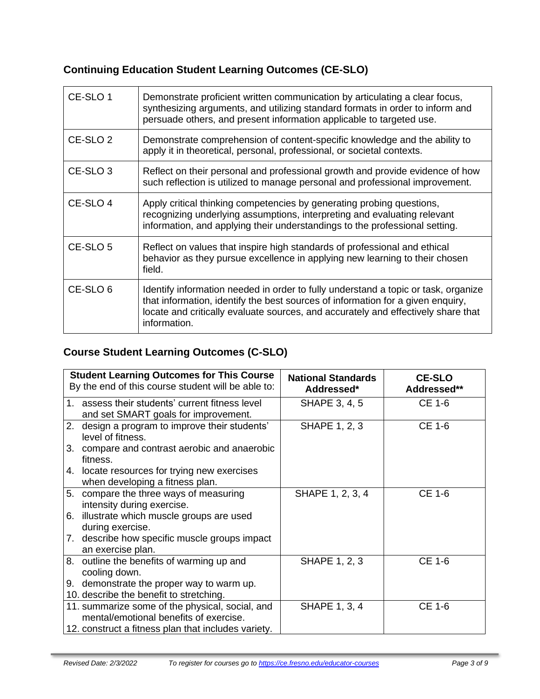## **Continuing Education Student Learning Outcomes (CE-SLO)**

| CE-SLO 1            | Demonstrate proficient written communication by articulating a clear focus,<br>synthesizing arguments, and utilizing standard formats in order to inform and<br>persuade others, and present information applicable to targeted use.                                       |
|---------------------|----------------------------------------------------------------------------------------------------------------------------------------------------------------------------------------------------------------------------------------------------------------------------|
| CE-SLO <sub>2</sub> | Demonstrate comprehension of content-specific knowledge and the ability to<br>apply it in theoretical, personal, professional, or societal contexts.                                                                                                                       |
| CE-SLO <sub>3</sub> | Reflect on their personal and professional growth and provide evidence of how<br>such reflection is utilized to manage personal and professional improvement.                                                                                                              |
| CE-SLO 4            | Apply critical thinking competencies by generating probing questions,<br>recognizing underlying assumptions, interpreting and evaluating relevant<br>information, and applying their understandings to the professional setting.                                           |
| CE-SLO 5            | Reflect on values that inspire high standards of professional and ethical<br>behavior as they pursue excellence in applying new learning to their chosen<br>field.                                                                                                         |
| CE-SLO <sub>6</sub> | Identify information needed in order to fully understand a topic or task, organize<br>that information, identify the best sources of information for a given enquiry,<br>locate and critically evaluate sources, and accurately and effectively share that<br>information. |

# **Course Student Learning Outcomes (C-SLO)**

|    | <b>Student Learning Outcomes for This Course</b><br>By the end of this course student will be able to: | <b>National Standards</b><br>Addressed* | <b>CE-SLO</b><br>Addressed** |
|----|--------------------------------------------------------------------------------------------------------|-----------------------------------------|------------------------------|
|    | 1. assess their students' current fitness level<br>and set SMART goals for improvement.                | SHAPE 3, 4, 5                           | CE 1-6                       |
| 2. | design a program to improve their students'<br>level of fitness.                                       | <b>SHAPE 1, 2, 3</b>                    | CE 1-6                       |
|    | 3. compare and contrast aerobic and anaerobic<br>fitness.                                              |                                         |                              |
|    | 4. locate resources for trying new exercises<br>when developing a fitness plan.                        |                                         |                              |
| 5. | compare the three ways of measuring                                                                    | SHAPE 1, 2, 3, 4                        | CE 1-6                       |
|    | intensity during exercise.                                                                             |                                         |                              |
|    | 6. illustrate which muscle groups are used<br>during exercise.                                         |                                         |                              |
|    | 7. describe how specific muscle groups impact                                                          |                                         |                              |
|    | an exercise plan.                                                                                      |                                         |                              |
|    | 8. outline the benefits of warming up and                                                              | <b>SHAPE 1, 2, 3</b>                    | <b>CE 1-6</b>                |
|    | cooling down.                                                                                          |                                         |                              |
|    | 9. demonstrate the proper way to warm up.                                                              |                                         |                              |
|    | 10. describe the benefit to stretching.                                                                |                                         |                              |
|    | 11. summarize some of the physical, social, and                                                        | <b>SHAPE 1, 3, 4</b>                    | <b>CE 1-6</b>                |
|    | mental/emotional benefits of exercise.                                                                 |                                         |                              |
|    | 12. construct a fitness plan that includes variety.                                                    |                                         |                              |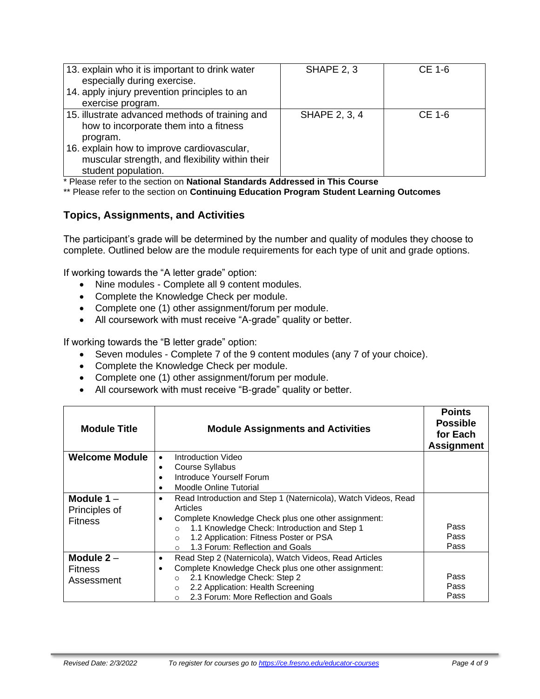| 13. explain who it is important to drink water<br>especially during exercise.<br>14. apply injury prevention principles to an<br>exercise program. | <b>SHAPE 2, 3</b> | <b>CE 1-6</b> |
|----------------------------------------------------------------------------------------------------------------------------------------------------|-------------------|---------------|
| 15. illustrate advanced methods of training and<br>how to incorporate them into a fitness<br>program.                                              | SHAPE 2, 3, 4     | $CE$ 1-6      |
| 16. explain how to improve cardiovascular,<br>muscular strength, and flexibility within their<br>student population.                               |                   |               |

\* Please refer to the section on **National Standards Addressed in This Course**

\*\* Please refer to the section on **Continuing Education Program Student Learning Outcomes**

## **Topics, Assignments, and Activities**

The participant's grade will be determined by the number and quality of modules they choose to complete. Outlined below are the module requirements for each type of unit and grade options.

If working towards the "A letter grade" option:

- Nine modules Complete all 9 content modules.
- Complete the Knowledge Check per module.
- Complete one (1) other assignment/forum per module.
- All coursework with must receive "A-grade" quality or better.

If working towards the "B letter grade" option:

- Seven modules Complete 7 of the 9 content modules (any 7 of your choice).
- Complete the Knowledge Check per module.
- Complete one (1) other assignment/forum per module.
- All coursework with must receive "B-grade" quality or better.

| <b>Module Title</b>   | <b>Module Assignments and Activities</b>                            | <b>Points</b><br><b>Possible</b><br>for Each<br><b>Assignment</b> |  |
|-----------------------|---------------------------------------------------------------------|-------------------------------------------------------------------|--|
| <b>Welcome Module</b> | Introduction Video<br>$\bullet$                                     |                                                                   |  |
|                       | Course Syllabus<br>٠                                                |                                                                   |  |
|                       | Introduce Yourself Forum                                            |                                                                   |  |
|                       | Moodle Online Tutorial<br>٠                                         |                                                                   |  |
| Module $1 -$          | Read Introduction and Step 1 (Naternicola), Watch Videos, Read<br>٠ |                                                                   |  |
| Principles of         | Articles                                                            |                                                                   |  |
| <b>Fitness</b>        | Complete Knowledge Check plus one other assignment:                 |                                                                   |  |
|                       | 1.1 Knowledge Check: Introduction and Step 1<br>$\circ$             | Pass                                                              |  |
|                       | 1.2 Application: Fitness Poster or PSA<br>$\circ$                   | Pass                                                              |  |
|                       | 1.3 Forum: Reflection and Goals<br>$\circ$                          | Pass                                                              |  |
| Module $2 -$          | Read Step 2 (Naternicola), Watch Videos, Read Articles<br>٠         |                                                                   |  |
| <b>Fitness</b>        | Complete Knowledge Check plus one other assignment:<br>٠            |                                                                   |  |
| Assessment            | 2.1 Knowledge Check: Step 2<br>$\circ$                              | Pass                                                              |  |
|                       | 2.2 Application: Health Screening<br>$\circ$                        | Pass                                                              |  |
|                       | 2.3 Forum: More Reflection and Goals                                | Pass                                                              |  |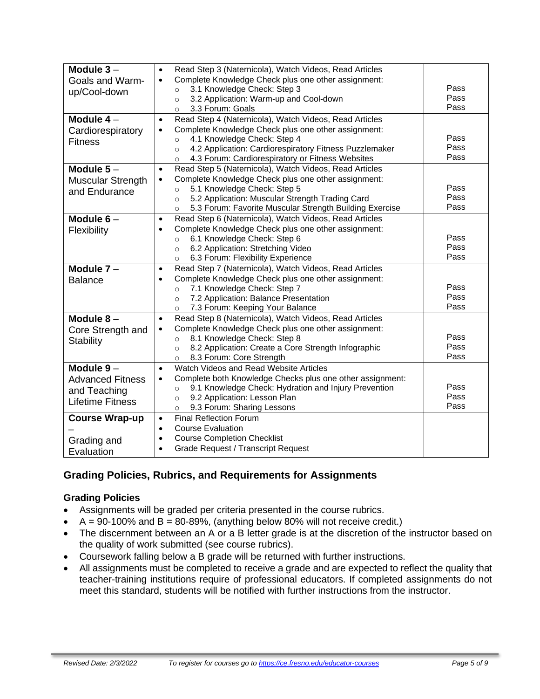| Module $3 -$<br>Goals and Warm-<br>up/Cool-down                                   | Read Step 3 (Naternicola), Watch Videos, Read Articles<br>$\bullet$<br>Complete Knowledge Check plus one other assignment:<br>$\bullet$<br>3.1 Knowledge Check: Step 3<br>$\circ$<br>3.2 Application: Warm-up and Cool-down<br>$\circ$<br>3.3 Forum: Goals<br>$\circ$                                                 | Pass<br>Pass<br>Pass |
|-----------------------------------------------------------------------------------|-----------------------------------------------------------------------------------------------------------------------------------------------------------------------------------------------------------------------------------------------------------------------------------------------------------------------|----------------------|
| Module $4-$<br>Cardiorespiratory<br><b>Fitness</b>                                | Read Step 4 (Naternicola), Watch Videos, Read Articles<br>$\bullet$<br>Complete Knowledge Check plus one other assignment:<br>$\bullet$<br>4.1 Knowledge Check: Step 4<br>$\circ$<br>4.2 Application: Cardiorespiratory Fitness Puzzlemaker<br>$\circ$<br>4.3 Forum: Cardiorespiratory or Fitness Websites<br>$\circ$ | Pass<br>Pass<br>Pass |
| Module $5-$<br><b>Muscular Strength</b><br>and Endurance                          | Read Step 5 (Naternicola), Watch Videos, Read Articles<br>$\bullet$<br>Complete Knowledge Check plus one other assignment:<br>$\bullet$<br>5.1 Knowledge Check: Step 5<br>$\circ$<br>5.2 Application: Muscular Strength Trading Card<br>$\circ$<br>5.3 Forum: Favorite Muscular Strength Building Exercise<br>$\circ$ | Pass<br>Pass<br>Pass |
| Module $6-$<br>Flexibility                                                        | Read Step 6 (Naternicola), Watch Videos, Read Articles<br>$\bullet$<br>Complete Knowledge Check plus one other assignment:<br>$\bullet$<br>6.1 Knowledge Check: Step 6<br>$\circ$<br>6.2 Application: Stretching Video<br>$\circ$<br>6.3 Forum: Flexibility Experience<br>$\circ$                                     | Pass<br>Pass<br>Pass |
| Module $7 -$<br><b>Balance</b>                                                    | Read Step 7 (Naternicola), Watch Videos, Read Articles<br>$\bullet$<br>Complete Knowledge Check plus one other assignment:<br>$\bullet$<br>7.1 Knowledge Check: Step 7<br>$\circ$<br>7.2 Application: Balance Presentation<br>$\circ$<br>7.3 Forum: Keeping Your Balance<br>$\circ$                                   | Pass<br>Pass<br>Pass |
| Module $8-$<br>Core Strength and<br><b>Stability</b>                              | Read Step 8 (Naternicola), Watch Videos, Read Articles<br>$\bullet$<br>Complete Knowledge Check plus one other assignment:<br>$\bullet$<br>8.1 Knowledge Check: Step 8<br>$\circ$<br>8.2 Application: Create a Core Strength Infographic<br>$\circ$<br>8.3 Forum: Core Strength<br>$\circ$                            | Pass<br>Pass<br>Pass |
| Module $9-$<br><b>Advanced Fitness</b><br>and Teaching<br><b>Lifetime Fitness</b> | Watch Videos and Read Website Articles<br>$\bullet$<br>Complete both Knowledge Checks plus one other assignment:<br>$\bullet$<br>9.1 Knowledge Check: Hydration and Injury Prevention<br>$\circ$<br>9.2 Application: Lesson Plan<br>$\circ$<br>9.3 Forum: Sharing Lessons<br>$\circ$                                  | Pass<br>Pass<br>Pass |
| <b>Course Wrap-up</b><br>Grading and<br>Evaluation                                | <b>Final Reflection Forum</b><br>$\bullet$<br><b>Course Evaluation</b><br>$\bullet$<br><b>Course Completion Checklist</b><br>$\bullet$<br><b>Grade Request / Transcript Request</b><br>$\bullet$                                                                                                                      |                      |

## **Grading Policies, Rubrics, and Requirements for Assignments**

## **Grading Policies**

- Assignments will be graded per criteria presented in the course rubrics.
- $A = 90-100\%$  and  $B = 80-89\%$ , (anything below 80% will not receive credit.)
- The discernment between an A or a B letter grade is at the discretion of the instructor based on the quality of work submitted (see course rubrics).
- Coursework falling below a B grade will be returned with further instructions.
- All assignments must be completed to receive a grade and are expected to reflect the quality that teacher-training institutions require of professional educators. If completed assignments do not meet this standard, students will be notified with further instructions from the instructor.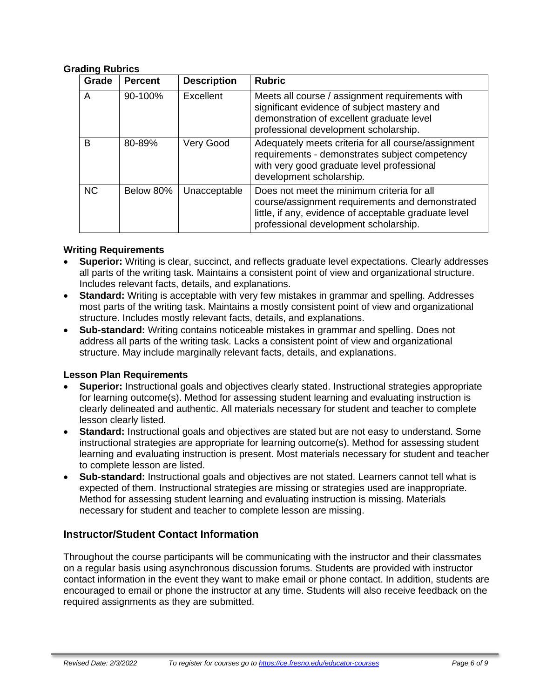#### **Grading Rubrics**

| Grade     | <b>Percent</b> | <b>Description</b> | <b>Rubric</b>                                                                                                                                                                                   |
|-----------|----------------|--------------------|-------------------------------------------------------------------------------------------------------------------------------------------------------------------------------------------------|
| A         | 90-100%        | Excellent          | Meets all course / assignment requirements with<br>significant evidence of subject mastery and<br>demonstration of excellent graduate level<br>professional development scholarship.            |
| B         | 80-89%         | Very Good          | Adequately meets criteria for all course/assignment<br>requirements - demonstrates subject competency<br>with very good graduate level professional<br>development scholarship.                 |
| <b>NC</b> | Below 80%      | Unacceptable       | Does not meet the minimum criteria for all<br>course/assignment requirements and demonstrated<br>little, if any, evidence of acceptable graduate level<br>professional development scholarship. |

#### **Writing Requirements**

- **Superior:** Writing is clear, succinct, and reflects graduate level expectations. Clearly addresses all parts of the writing task. Maintains a consistent point of view and organizational structure. Includes relevant facts, details, and explanations.
- **Standard:** Writing is acceptable with very few mistakes in grammar and spelling. Addresses most parts of the writing task. Maintains a mostly consistent point of view and organizational structure. Includes mostly relevant facts, details, and explanations.
- **Sub-standard:** Writing contains noticeable mistakes in grammar and spelling. Does not address all parts of the writing task. Lacks a consistent point of view and organizational structure. May include marginally relevant facts, details, and explanations.

#### **Lesson Plan Requirements**

- **Superior:** Instructional goals and objectives clearly stated. Instructional strategies appropriate for learning outcome(s). Method for assessing student learning and evaluating instruction is clearly delineated and authentic. All materials necessary for student and teacher to complete lesson clearly listed.
- **Standard:** Instructional goals and objectives are stated but are not easy to understand. Some instructional strategies are appropriate for learning outcome(s). Method for assessing student learning and evaluating instruction is present. Most materials necessary for student and teacher to complete lesson are listed.
- **Sub-standard:** Instructional goals and objectives are not stated. Learners cannot tell what is expected of them. Instructional strategies are missing or strategies used are inappropriate. Method for assessing student learning and evaluating instruction is missing. Materials necessary for student and teacher to complete lesson are missing.

## **Instructor/Student Contact Information**

Throughout the course participants will be communicating with the instructor and their classmates on a regular basis using asynchronous discussion forums. Students are provided with instructor contact information in the event they want to make email or phone contact. In addition, students are encouraged to email or phone the instructor at any time. Students will also receive feedback on the required assignments as they are submitted.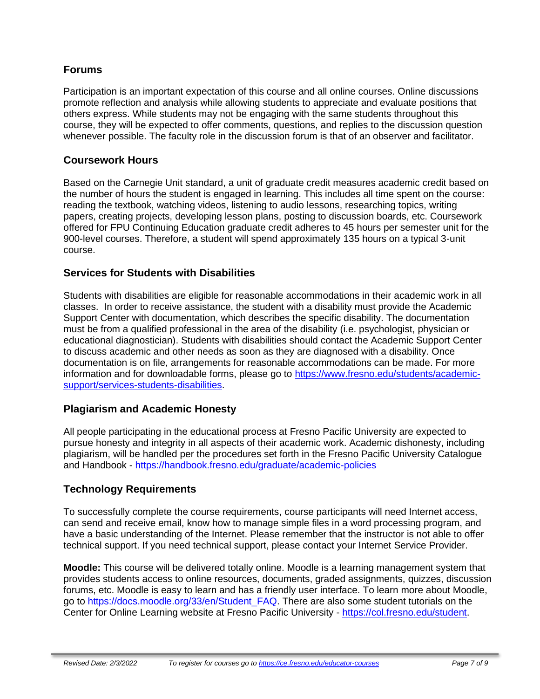## **Forums**

Participation is an important expectation of this course and all online courses. Online discussions promote reflection and analysis while allowing students to appreciate and evaluate positions that others express. While students may not be engaging with the same students throughout this course, they will be expected to offer comments, questions, and replies to the discussion question whenever possible. The faculty role in the discussion forum is that of an observer and facilitator.

## **Coursework Hours**

Based on the Carnegie Unit standard, a unit of graduate credit measures academic credit based on the number of hours the student is engaged in learning. This includes all time spent on the course: reading the textbook, watching videos, listening to audio lessons, researching topics, writing papers, creating projects, developing lesson plans, posting to discussion boards, etc. Coursework offered for FPU Continuing Education graduate credit adheres to 45 hours per semester unit for the 900-level courses. Therefore, a student will spend approximately 135 hours on a typical 3-unit course.

## **Services for Students with Disabilities**

Students with disabilities are eligible for reasonable accommodations in their academic work in all classes. In order to receive assistance, the student with a disability must provide the Academic Support Center with documentation, which describes the specific disability. The documentation must be from a qualified professional in the area of the disability (i.e. psychologist, physician or educational diagnostician). Students with disabilities should contact the Academic Support Center to discuss academic and other needs as soon as they are diagnosed with a disability. Once documentation is on file, arrangements for reasonable accommodations can be made. For more information and for downloadable forms, please go to [https://www.fresno.edu/students/academic](https://www.fresno.edu/students/academic-support/services-students-disabilities)[support/services-students-disabilities.](https://www.fresno.edu/students/academic-support/services-students-disabilities)

## **Plagiarism and Academic Honesty**

All people participating in the educational process at Fresno Pacific University are expected to pursue honesty and integrity in all aspects of their academic work. Academic dishonesty, including plagiarism, will be handled per the procedures set forth in the Fresno Pacific University Catalogue and Handbook - <https://handbook.fresno.edu/graduate/academic-policies>

## **Technology Requirements**

To successfully complete the course requirements, course participants will need Internet access, can send and receive email, know how to manage simple files in a word processing program, and have a basic understanding of the Internet. Please remember that the instructor is not able to offer technical support. If you need technical support, please contact your Internet Service Provider.

**Moodle:** This course will be delivered totally online. Moodle is a learning management system that provides students access to online resources, documents, graded assignments, quizzes, discussion forums, etc. Moodle is easy to learn and has a friendly user interface. To learn more about Moodle, go to [https://docs.moodle.org/33/en/Student\\_FAQ.](https://docs.moodle.org/33/en/Student_FAQ) There are also some student tutorials on the Center for Online Learning website at Fresno Pacific University - [https://col.fresno.edu/student.](https://col.fresno.edu/student)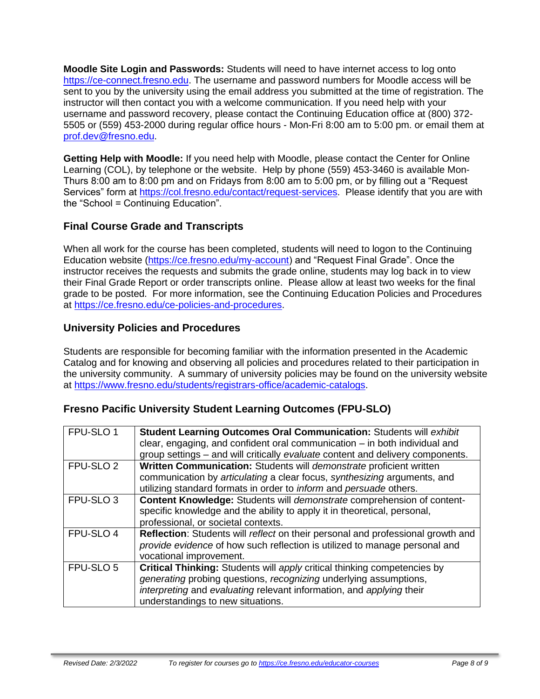**Moodle Site Login and Passwords:** Students will need to have internet access to log onto [https://ce-connect.fresno.edu.](https://ce-connect.fresno.edu/) The username and password numbers for Moodle access will be sent to you by the university using the email address you submitted at the time of registration. The instructor will then contact you with a welcome communication. If you need help with your username and password recovery, please contact the Continuing Education office at (800) 372- 5505 or (559) 453-2000 during regular office hours - Mon-Fri 8:00 am to 5:00 pm. or email them at [prof.dev@fresno.edu.](mailto:prof.dev@fresno.edu)

**Getting Help with Moodle:** If you need help with Moodle, please contact the Center for Online Learning (COL), by telephone or the website. Help by phone (559) 453-3460 is available Mon-Thurs 8:00 am to 8:00 pm and on Fridays from 8:00 am to 5:00 pm, or by filling out a "Request Services" form at [https://col.fresno.edu/contact/request-services.](https://col.fresno.edu/contact/request-services) Please identify that you are with the "School = Continuing Education".

## **Final Course Grade and Transcripts**

When all work for the course has been completed, students will need to logon to the Continuing Education website [\(https://ce.fresno.edu/my-account\)](https://ce.fresno.edu/my-account) and "Request Final Grade". Once the instructor receives the requests and submits the grade online, students may log back in to view their Final Grade Report or order transcripts online. Please allow at least two weeks for the final grade to be posted. For more information, see the Continuing Education Policies and Procedures at [https://ce.fresno.edu/ce-policies-and-procedures.](https://ce.fresno.edu/ce-policies-and-procedures)

## **University Policies and Procedures**

Students are responsible for becoming familiar with the information presented in the Academic Catalog and for knowing and observing all policies and procedures related to their participation in the university community. A summary of university policies may be found on the university website at [https://www.fresno.edu/students/registrars-office/academic-catalogs.](https://www.fresno.edu/students/registrars-office/academic-catalogs)

## **Fresno Pacific University Student Learning Outcomes (FPU-SLO)**

| FPU-SLO 1            | Student Learning Outcomes Oral Communication: Students will exhibit<br>clear, engaging, and confident oral communication $-$ in both individual and<br>group settings - and will critically evaluate content and delivery components.                             |
|----------------------|-------------------------------------------------------------------------------------------------------------------------------------------------------------------------------------------------------------------------------------------------------------------|
| FPU-SLO <sub>2</sub> | Written Communication: Students will demonstrate proficient written<br>communication by articulating a clear focus, synthesizing arguments, and<br>utilizing standard formats in order to <i>inform</i> and <i>persuade</i> others.                               |
| FPU-SLO <sub>3</sub> | Content Knowledge: Students will demonstrate comprehension of content-<br>specific knowledge and the ability to apply it in theoretical, personal,<br>professional, or societal contexts.                                                                         |
| FPU-SLO 4            | Reflection: Students will reflect on their personal and professional growth and<br>provide evidence of how such reflection is utilized to manage personal and<br>vocational improvement.                                                                          |
| FPU-SLO 5            | <b>Critical Thinking:</b> Students will apply critical thinking competencies by<br>generating probing questions, recognizing underlying assumptions,<br>interpreting and evaluating relevant information, and applying their<br>understandings to new situations. |